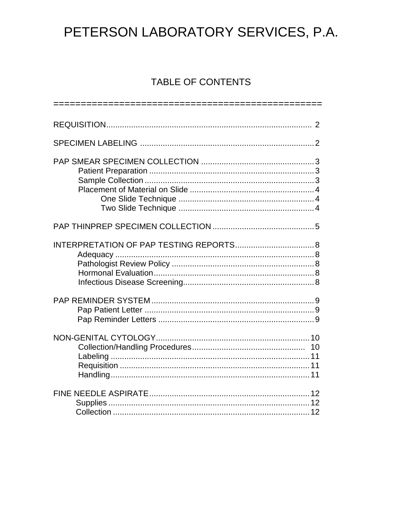# TABLE OF CONTENTS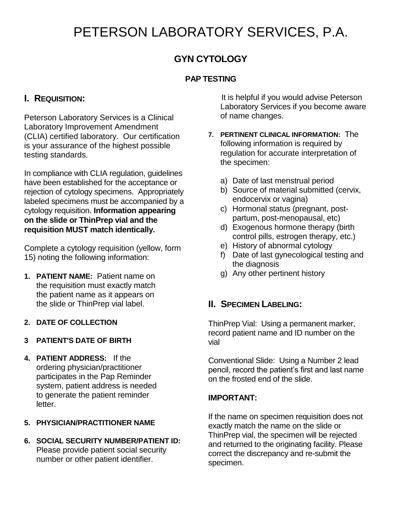# **GYN CYTOLOGY**

## **PAP TESTING**

# **I. REQUISITION:**

Peterson Laboratory Services is a Clinical Laboratory Improvement Amendment (CLIA) certified laboratory. Our certification is your assurance of the highest possible testing standards.

In compliance with CLIA regulation, guidelines have been established for the acceptance or rejection of cytology specimens. Appropriately labeled specimens must be accompanied by a cytology requisition. **Information appearing on the slide or ThinPrep vial and the requisition MUST match identically.**

Complete a cytology requisition (yellow, form 15) noting the following information:

- **1. PATIENT NAME:** Patient name on the requisition must exactly match the patient name as it appears on the slide or ThinPrep vial label.
- **2. DATE OF COLLECTION**
- **3 PATIENT'S DATE OF BIRTH**
- **4. PATIENT ADDRESS:** If the ordering physician/practitioner participates in the Pap Reminder system, patient address is needed to generate the patient reminder letter.
- **5. PHYSICIAN/PRACTITIONER NAME**
- **6. SOCIAL SECURITY NUMBER/PATIENT ID:** Please provide patient social security number or other patient identifier.

 It is helpful if you would advise Peterson Laboratory Services if you become aware of name changes.

- **7. PERTINENT CLINICAL INFORMATION:** The following information is required by regulation for accurate interpretation of the specimen:
	- a) Date of last menstrual period
	- b) Source of material submitted (cervix, endocervix or vagina)
	- c) Hormonal status (pregnant, postpartum, post-menopausal, etc)
	- d) Exogenous hormone therapy (birth control pills, estrogen therapy, etc.)
	- e) History of abnormal cytology
	- f) Date of last gynecological testing and the diagnosis
	- g) Any other pertinent history

## **II. SPECIMEN LABELING:**

ThinPrep Vial: Using a permanent marker, record patient name and ID number on the vial

Conventional Slide: Using a Number 2 lead pencil, record the patient's first and last name on the frosted end of the slide.

### **IMPORTANT:**

If the name on specimen requisition does not exactly match the name on the slide or ThinPrep vial, the specimen will be rejected and returned to the originating facility. Please correct the discrepancy and re-submit the specimen.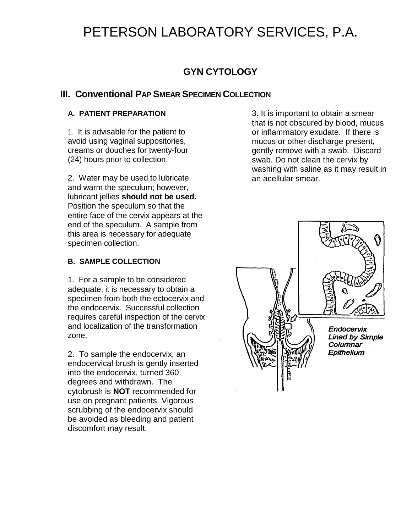# **GYN CYTOLOGY**

# **III. Conventional PAP SMEAR SPECIMEN COLLECTION**

### **A. PATIENT PREPARATION**

1. It is advisable for the patient to avoid using vaginal suppositories, creams or douches for twenty-four (24) hours prior to collection.

2. Water may be used to lubricate and warm the speculum; however, lubricant jellies **should not be used.** Position the speculum so that the entire face of the cervix appears at the end of the speculum. A sample from this area is necessary for adequate specimen collection.

### **B. SAMPLE COLLECTION**

1. For a sample to be considered adequate, it is necessary to obtain a specimen from both the ectocervix and the endocervix. Successful collection requires careful inspection of the cervix and localization of the transformation zone.

2. To sample the endocervix, an endocervical brush is gently inserted into the endocervix, turned 360 degrees and withdrawn. The cytobrush is **NOT** recommended for use on pregnant patients. Vigorous scrubbing of the endocervix should be avoided as bleeding and patient discomfort may result.

3. It is important to obtain a smear that is not obscured by blood, mucus or inflammatory exudate. If there is mucus or other discharge present, gently remove with a swab. Discard swab. Do not clean the cervix by washing with saline as it may result in an acellular smear.

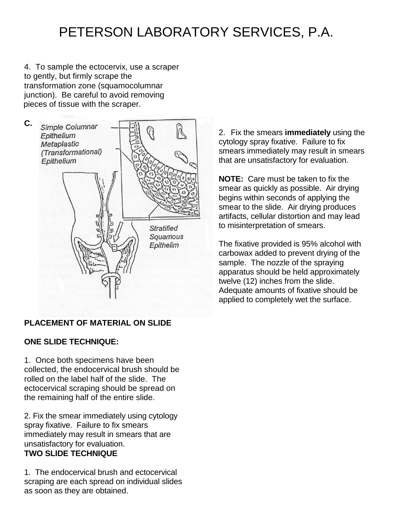4. To sample the ectocervix, use a scraper to gently, but firmly scrape the transformation zone (squamocolumnar junction). Be careful to avoid removing pieces of tissue with the scraper.



## **PLACEMENT OF MATERIAL ON SLIDE**

### **ONE SLIDE TECHNIQUE:**

1. Once both specimens have been collected, the endocervical brush should be rolled on the label half of the slide. The ectocervical scraping should be spread on the remaining half of the entire slide.

2. Fix the smear immediately using cytology spray fixative. Failure to fix smears immediately may result in smears that are unsatisfactory for evaluation. Fix the smear immediately spray fixative pump cytology spray fixative to fixative **TWO SLIDE TECHNIQUE**

1. The endocervical brush and ectocervical scraping are each spread on individual slides as soon as they are obtained.

2. Fix the smears **immediately** using the cytology spray fixative. Failure to fix smears immediately may result in smears that are unsatisfactory for evaluation.

**NOTE:** Care must be taken to fix the smear as quickly as possible. Air drying begins within seconds of applying the smear to the slide. Air drying produces artifacts, cellular distortion and may lead to misinterpretation of smears.

The fixative provided is 95% alcohol with carbowax added to prevent drying of the sample. The nozzle of the spraying apparatus should be held approximately twelve (12) inches from the slide. Adequate amounts of fixative should be applied to completely wet the surface.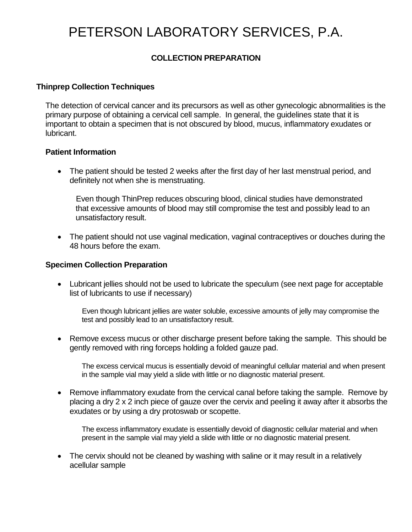## **COLLECTION PREPARATION**

### **Thinprep Collection Techniques**

The detection of cervical cancer and its precursors as well as other gynecologic abnormalities is the primary purpose of obtaining a cervical cell sample. In general, the guidelines state that it is important to obtain a specimen that is not obscured by blood, mucus, inflammatory exudates or lubricant.

### **Patient Information**

• The patient should be tested 2 weeks after the first day of her last menstrual period, and definitely not when she is menstruating.

 Even though ThinPrep reduces obscuring blood, clinical studies have demonstrated that excessive amounts of blood may still compromise the test and possibly lead to an unsatisfactory result.

• The patient should not use vaginal medication, vaginal contraceptives or douches during the 48 hours before the exam.

### **Specimen Collection Preparation**

 Lubricant jellies should not be used to lubricate the speculum (see next page for acceptable list of lubricants to use if necessary)

 Even though lubricant jellies are water soluble, excessive amounts of jelly may compromise the test and possibly lead to an unsatisfactory result.

 Remove excess mucus or other discharge present before taking the sample. This should be gently removed with ring forceps holding a folded gauze pad.

The excess cervical mucus is essentially devoid of meaningful cellular material and when present in the sample vial may yield a slide with little or no diagnostic material present.

• Remove inflammatory exudate from the cervical canal before taking the sample. Remove by placing a dry 2 x 2 inch piece of gauze over the cervix and peeling it away after it absorbs the exudates or by using a dry protoswab or scopette.

The excess inflammatory exudate is essentially devoid of diagnostic cellular material and when present in the sample vial may yield a slide with little or no diagnostic material present.

• The cervix should not be cleaned by washing with saline or it may result in a relatively acellular sample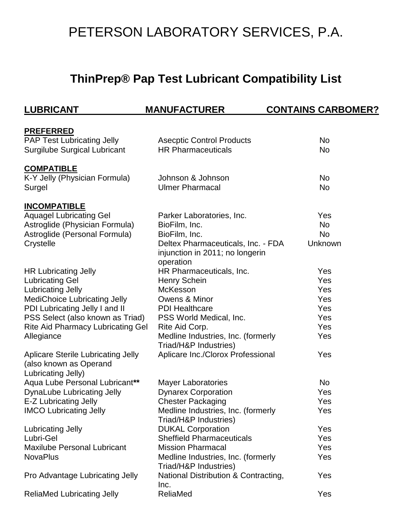# **ThinPrep® Pap Test Lubricant Compatibility List**

| <b>LUBRICANT</b>                          | <b>MANUFACTURER</b>                                         | <b>CONTAINS CARBOMER?</b> |
|-------------------------------------------|-------------------------------------------------------------|---------------------------|
|                                           |                                                             |                           |
| <b>PREFERRED</b>                          |                                                             |                           |
| <b>PAP Test Lubricating Jelly</b>         | <b>Asecptic Control Products</b>                            | No                        |
| <b>Surgilube Surgical Lubricant</b>       | <b>HR Pharmaceuticals</b>                                   | <b>No</b>                 |
| <b>COMPATIBLE</b>                         |                                                             |                           |
| K-Y Jelly (Physician Formula)             | Johnson & Johnson                                           | <b>No</b>                 |
| Surgel                                    | <b>Ulmer Pharmacal</b>                                      | No                        |
| <b>INCOMPATIBLE</b>                       |                                                             |                           |
| <b>Aquagel Lubricating Gel</b>            | Parker Laboratories, Inc.                                   | Yes                       |
| Astroglide (Physician Formula)            | BioFilm, Inc.                                               | No                        |
| Astroglide (Personal Formula)             | BioFilm, Inc.                                               | <b>No</b>                 |
| Crystelle                                 | Deltex Pharmaceuticals, Inc. - FDA                          | Unknown                   |
|                                           | injunction in 2011; no longerin                             |                           |
|                                           | operation                                                   |                           |
| <b>HR Lubricating Jelly</b>               | HR Pharmaceuticals, Inc.                                    | Yes                       |
| <b>Lubricating Gel</b>                    | <b>Henry Schein</b>                                         | Yes                       |
| Lubricating Jelly                         | McKesson                                                    | Yes                       |
| <b>MediChoice Lubricating Jelly</b>       | Owens & Minor                                               | Yes                       |
| PDI Lubricating Jelly I and II            | <b>PDI Healthcare</b>                                       | Yes                       |
| PSS Select (also known as Triad)          | PSS World Medical, Inc.                                     | Yes                       |
| <b>Rite Aid Pharmacy Lubricating Gel</b>  | Rite Aid Corp.                                              | Yes                       |
| Allegiance                                | Medline Industries, Inc. (formerly                          | Yes                       |
|                                           | Triad/H&P Industries)                                       |                           |
| <b>Aplicare Sterile Lubricating Jelly</b> | Aplicare Inc./Clorox Professional                           | Yes                       |
| (also known as Operand                    |                                                             |                           |
| Lubricating Jelly)                        |                                                             |                           |
| Aqua Lube Personal Lubricant**            | <b>Mayer Laboratories</b>                                   | <b>No</b>                 |
| <b>DynaLube Lubricating Jelly</b>         | <b>Dynarex Corporation</b>                                  | Yes                       |
| E-Z Lubricating Jelly                     | <b>Chester Packaging</b>                                    | Yes                       |
| <b>IMCO Lubricating Jelly</b>             | Medline Industries, Inc. (formerly<br>Triad/H&P Industries) | Yes                       |
| <b>Lubricating Jelly</b>                  | <b>DUKAL Corporation</b>                                    | Yes                       |
| Lubri-Gel                                 | <b>Sheffield Pharmaceuticals</b>                            | Yes                       |
| <b>Maxilube Personal Lubricant</b>        | <b>Mission Pharmacal</b>                                    | Yes                       |
| <b>NovaPlus</b>                           | Medline Industries, Inc. (formerly                          | Yes                       |
|                                           | Triad/H&P Industries)                                       |                           |
| Pro Advantage Lubricating Jelly           | National Distribution & Contracting,                        | Yes                       |
|                                           | Inc.                                                        |                           |
| <b>ReliaMed Lubricating Jelly</b>         | ReliaMed                                                    | Yes                       |
|                                           |                                                             |                           |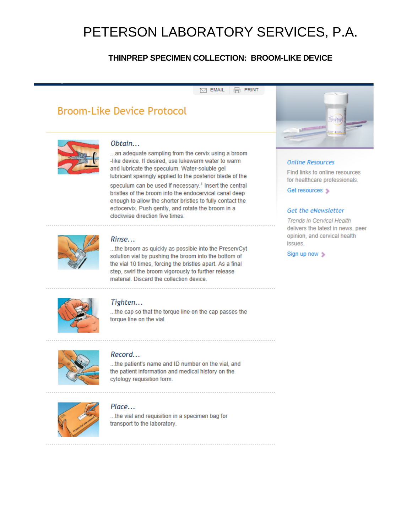## THINPREP SPECIMEN COLLECTION: BROOM-LIKE DEVICE

#### $\boxdot$  EMAIL **品 PRINT**

# **Broom-Like Device Protocol**



#### Obtain...

...an adequate sampling from the cervix using a broom -like device. If desired, use lukewarm water to warm and lubricate the speculum. Water-soluble gel lubricant sparingly applied to the posterior blade of the

speculum can be used if necessary.<sup>1</sup> Insert the central bristles of the broom into the endocervical canal deep enough to allow the shorter bristles to fully contact the ectocervix. Push gently, and rotate the broom in a clockwise direction five times.



#### Rinse...

...the broom as quickly as possible into the PreservCyt solution vial by pushing the broom into the bottom of the vial 10 times, forcing the bristles apart. As a final step, swirl the broom vigorously to further release material. Discard the collection device.



#### **Online Resources**

Find links to online resources for healthcare professionals.

Get resources >

#### Get the eNewsletter

**Trends in Cervical Health** delivers the latest in news, peer opinion, and cervical health issues.

Sign up now >



#### Tighten...

...the cap so that the torque line on the cap passes the torque line on the vial.



#### Record...

...the patient's name and ID number on the vial, and the patient information and medical history on the cytology requisition form.



#### Place...

...the vial and requisition in a specimen bag for transport to the laboratory.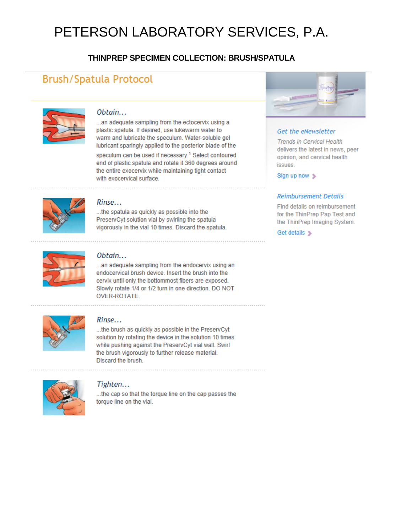## THINPREP SPECIMEN COLLECTION: BRUSH/SPATULA

# **Brush/Spatula Protocol**



#### Obtain...

...an adequate sampling from the ectocervix using a plastic spatula. If desired, use lukewarm water to warm and lubricate the speculum. Water-soluble gel lubricant sparingly applied to the posterior blade of the

speculum can be used if necessary.<sup>1</sup> Select contoured end of plastic spatula and rotate it 360 degrees around the entire exocervix while maintaining tight contact with exocervical surface.



#### Rinse...

...the spatula as quickly as possible into the PreservCyt solution vial by swirling the spatula vigorously in the vial 10 times. Discard the spatula.



#### Obtain...

...an adequate sampling from the endocervix using an endocervical brush device. Insert the brush into the cervix until only the bottommost fibers are exposed. Slowly rotate 1/4 or 1/2 turn in one direction. DO NOT **OVER-ROTATE.** 



#### Rinse...

...the brush as quickly as possible in the PreservCyt solution by rotating the device in the solution 10 times while pushing against the PreservCyt vial wall. Swirl the brush vigorously to further release material. Discard the brush.



#### Tighten...

...the cap so that the torque line on the cap passes the torque line on the vial.



#### Get the eNewsletter

**Trends in Cervical Health** delivers the latest in news, peer opinion, and cervical health issues.

Sign up now >

#### **Reimbursement Details**

Find details on reimbursement for the ThinPrep Pap Test and the ThinPrep Imaging System.

Get details >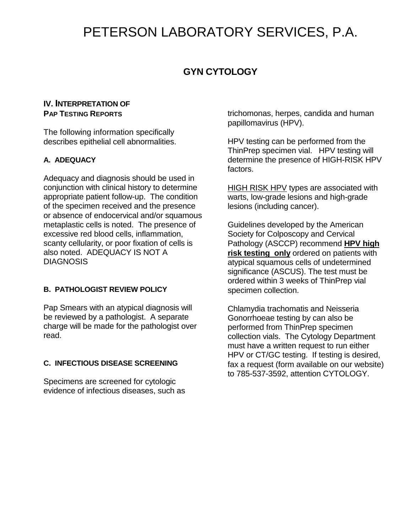# **GYN CYTOLOGY**

### **IV. INTERPRETATION OF PAP TESTING REPORTS**

The following information specifically describes epithelial cell abnormalities.

### **A. ADEQUACY**

Adequacy and diagnosis should be used in conjunction with clinical history to determine appropriate patient follow-up. The condition of the specimen received and the presence or absence of endocervical and/or squamous metaplastic cells is noted. The presence of excessive red blood cells, inflammation, scanty cellularity, or poor fixation of cells is also noted. ADEQUACY IS NOT A **DIAGNOSIS** 

### **B. PATHOLOGIST REVIEW POLICY**

Pap Smears with an atypical diagnosis will be reviewed by a pathologist. A separate charge will be made for the pathologist over read.

### **C. INFECTIOUS DISEASE SCREENING**

Specimens are screened for cytologic evidence of infectious diseases, such as trichomonas, herpes, candida and human papillomavirus (HPV).

HPV testing can be performed from the ThinPrep specimen vial. HPV testing will determine the presence of HIGH-RISK HPV factors.

HIGH RISK HPV types are associated with warts, low-grade lesions and high-grade lesions (including cancer).

Guidelines developed by the American Society for Colposcopy and Cervical Pathology (ASCCP) recommend **HPV high risk testing only** ordered on patients with atypical squamous cells of undetermined significance (ASCUS). The test must be ordered within 3 weeks of ThinPrep vial specimen collection.

Chlamydia trachomatis and Neisseria Gonorrhoeae testing by can also be performed from ThinPrep specimen collection vials. The Cytology Department must have a written request to run either HPV or CT/GC testing. If testing is desired, fax a request (form available on our website) to 785-537-3592, attention CYTOLOGY.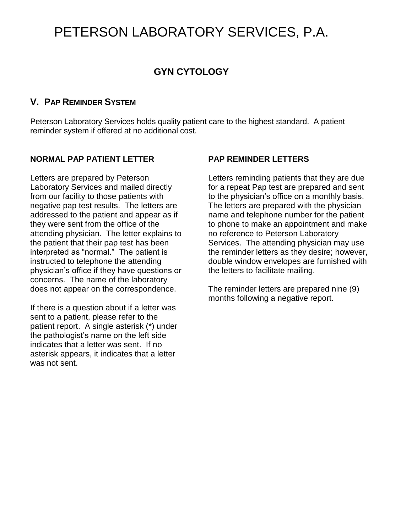# **GYN CYTOLOGY**

# **V. PAP REMINDER SYSTEM**

Peterson Laboratory Services holds quality patient care to the highest standard. A patient reminder system if offered at no additional cost.

### **NORMAL PAP PATIENT LETTER**

Letters are prepared by Peterson Laboratory Services and mailed directly from our facility to those patients with negative pap test results. The letters are addressed to the patient and appear as if they were sent from the office of the attending physician. The letter explains to the patient that their pap test has been interpreted as "normal." The patient is instructed to telephone the attending physician's office if they have questions or concerns. The name of the laboratory does not appear on the correspondence.

If there is a question about if a letter was sent to a patient, please refer to the patient report. A single asterisk (\*) under the pathologist's name on the left side indicates that a letter was sent. If no asterisk appears, it indicates that a letter was not sent.

## **PAP REMINDER LETTERS**

Letters reminding patients that they are due for a repeat Pap test are prepared and sent to the physician's office on a monthly basis. The letters are prepared with the physician name and telephone number for the patient to phone to make an appointment and make no reference to Peterson Laboratory Services. The attending physician may use the reminder letters as they desire; however, double window envelopes are furnished with the letters to facilitate mailing.

The reminder letters are prepared nine (9) months following a negative report.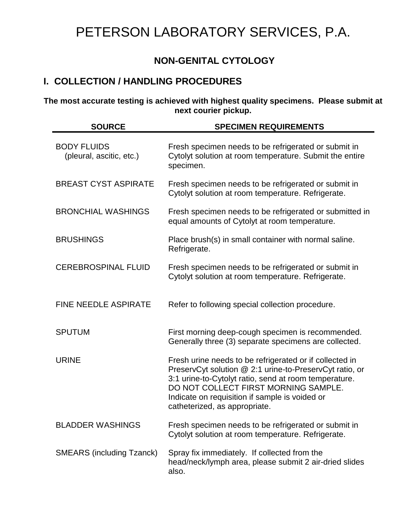# **NON-GENITAL CYTOLOGY**

# **I. COLLECTION / HANDLING PROCEDURES**

**The most accurate testing is achieved with highest quality specimens. Please submit at next courier pickup.**

| <b>SOURCE</b>                                  | <b>SPECIMEN REQUIREMENTS</b>                                                                                                                                                                                                                                                                           |  |
|------------------------------------------------|--------------------------------------------------------------------------------------------------------------------------------------------------------------------------------------------------------------------------------------------------------------------------------------------------------|--|
| <b>BODY FLUIDS</b><br>(pleural, ascitic, etc.) | Fresh specimen needs to be refrigerated or submit in<br>Cytolyt solution at room temperature. Submit the entire<br>specimen.                                                                                                                                                                           |  |
| <b>BREAST CYST ASPIRATE</b>                    | Fresh specimen needs to be refrigerated or submit in<br>Cytolyt solution at room temperature. Refrigerate.                                                                                                                                                                                             |  |
| <b>BRONCHIAL WASHINGS</b>                      | Fresh specimen needs to be refrigerated or submitted in<br>equal amounts of Cytolyt at room temperature.                                                                                                                                                                                               |  |
| <b>BRUSHINGS</b>                               | Place brush(s) in small container with normal saline.<br>Refrigerate.                                                                                                                                                                                                                                  |  |
| <b>CEREBROSPINAL FLUID</b>                     | Fresh specimen needs to be refrigerated or submit in<br>Cytolyt solution at room temperature. Refrigerate.                                                                                                                                                                                             |  |
| FINE NEEDLE ASPIRATE                           | Refer to following special collection procedure.                                                                                                                                                                                                                                                       |  |
| <b>SPUTUM</b>                                  | First morning deep-cough specimen is recommended.<br>Generally three (3) separate specimens are collected.                                                                                                                                                                                             |  |
| <b>URINE</b>                                   | Fresh urine needs to be refrigerated or if collected in<br>PreservCyt solution @ 2:1 urine-to-PreservCyt ratio, or<br>3:1 urine-to-Cytolyt ratio, send at room temperature.<br>DO NOT COLLECT FIRST MORNING SAMPLE.<br>Indicate on requisition if sample is voided or<br>catheterized, as appropriate. |  |
| <b>BLADDER WASHINGS</b>                        | Fresh specimen needs to be refrigerated or submit in<br>Cytolyt solution at room temperature. Refrigerate.                                                                                                                                                                                             |  |
| <b>SMEARS (including Tzanck)</b>               | Spray fix immediately. If collected from the<br>head/neck/lymph area, please submit 2 air-dried slides<br>also.                                                                                                                                                                                        |  |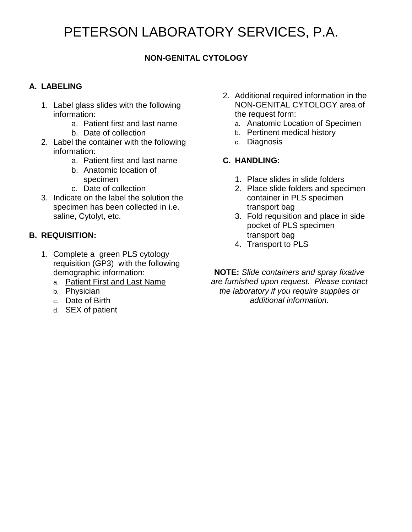# **NON-GENITAL CYTOLOGY**

## **A. LABELING**

- 1. Label glass slides with the following information:
	- a. Patient first and last name
	- b. Date of collection
- 2. Label the container with the following information:
	- a. Patient first and last name
	- b. Anatomic location of specimen
	- c. Date of collection
- 3. Indicate on the label the solution the specimen has been collected in i.e. saline, Cytolyt, etc.

## **B. REQUISITION:**

- 1. Complete a green PLS cytology requisition (GP3) with the following demographic information:
	- a. Patient First and Last Name
	- b. Physician
	- c. Date of Birth
	- d. SEX of patient
- 2. Additional required information in the NON-GENITAL CYTOLOGY area of the request form:
	- a. Anatomic Location of Specimen
	- b. Pertinent medical history
	- c. Diagnosis

## **C. HANDLING:**

- 1. Place slides in slide folders
- 2. Place slide folders and specimen container in PLS specimen transport bag
- 3. Fold requisition and place in side pocket of PLS specimen transport bag
- 4. Transport to PLS

**NOTE:** *Slide containers and spray fixative are furnished upon request. Please contact the laboratory if you require supplies or additional information.*